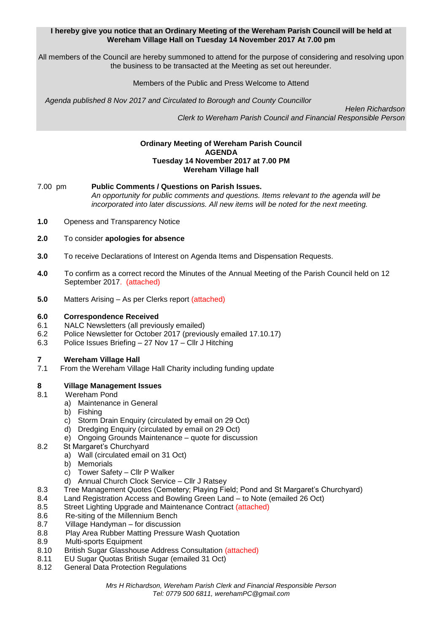### **I hereby give you notice that an Ordinary Meeting of the Wereham Parish Council will be held at Wereham Village Hall on Tuesday 14 November 2017 At 7.00 pm**

All members of the Council are hereby summoned to attend for the purpose of considering and resolving upon the business to be transacted at the Meeting as set out hereunder.

## Members of the Public and Press Welcome to Attend

*Agenda published 8 Nov 2017 and Circulated to Borough and County Councillor* 

 *Helen Richardson Clerk to Wereham Parish Council and Financial Responsible Person*

#### **Ordinary Meeting of Wereham Parish Council AGENDA Tuesday 14 November 2017 at 7.00 PM Wereham Village hall**

7.00 pm **Public Comments / Questions on Parish Issues.** *An opportunity for public comments and questions. Items relevant to the agenda will be incorporated into later discussions. All new items will be noted for the next meeting.*

- **1.0** Openess and Transparency Notice
- **2.0** To consider **apologies for absence**
- **3.0** To receive Declarations of Interest on Agenda Items and Dispensation Requests.
- **4.0** To confirm as a correct record the Minutes of the Annual Meeting of the Parish Council held on 12 September 2017. (attached)
- **5.0** Matters Arising As per Clerks report (attached)

## **6.0 Correspondence Received**

- 6.1 NALC Newsletters (all previously emailed)
- 6.2 Police Newsletter for October 2017 (previously emailed 17.10.17)
- 6.3 Police Issues Briefing 27 Nov 17 Cllr J Hitching

## **7 Wereham Village Hall**

7.1 From the Wereham Village Hall Charity including funding update

## **8 Village Management Issues**

- 8.1 Wereham Pond
	- a) Maintenance in General
	- b) Fishing
	- c) Storm Drain Enquiry (circulated by email on 29 Oct)
	- d) Dredging Enquiry (circulated by email on 29 Oct)
	- e) Ongoing Grounds Maintenance quote for discussion
- 8.2 St Margaret's Churchyard
	- a) Wall (circulated email on 31 Oct)
	- b) Memorials
	- c) Tower Safety Cllr P Walker
	- d) Annual Church Clock Service Cllr J Ratsey
- 8.3 Tree Management Quotes (Cemetery; Playing Field; Pond and St Margaret's Churchyard)
- 8.4 Land Registration Access and Bowling Green Land to Note (emailed 26 Oct)
- 8.5 Street Lighting Upgrade and Maintenance Contract (attached)
- 8.6 Re-siting of the Millennium Bench
- 8.7 Village Handyman for discussion
- 8.8 Play Area Rubber Matting Pressure Wash Quotation
- 8.9 Multi-sports Equipment
- 8.10 British Sugar Glasshouse Address Consultation (attached)
- 8.11 EU Sugar Quotas British Sugar (emailed 31 Oct)
- 8.12 General Data Protection Regulations